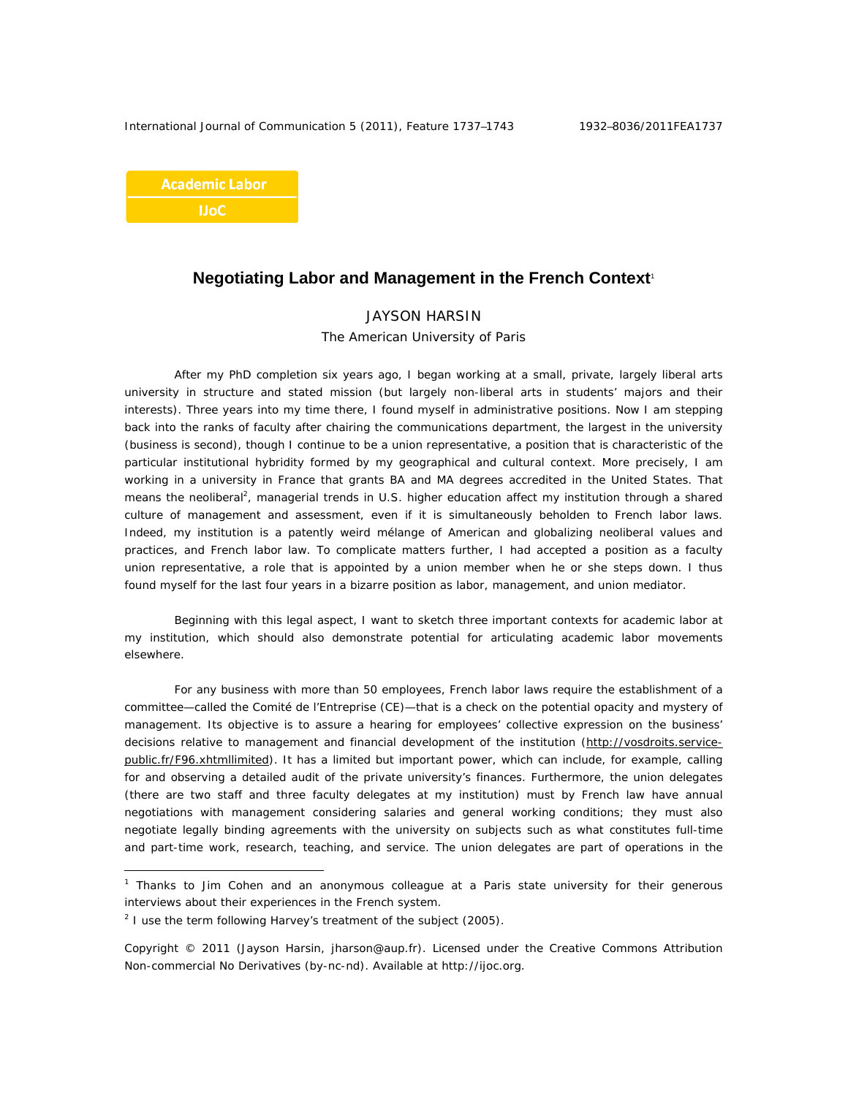**Academic Labor IJoC** 

## **Negotiating Labor and Management in the French Context**<sup>1</sup>

## JAYSON HARSIN

The American University of Paris

After my PhD completion six years ago, I began working at a small, private, largely liberal arts university in structure and stated mission (but largely non-liberal arts in students' majors and their interests). Three years into my time there, I found myself in administrative positions. Now I am stepping back into the ranks of faculty after chairing the communications department, the largest in the university (business is second), though I continue to be a union representative, a position that is characteristic of the particular institutional hybridity formed by my geographical and cultural context. More precisely, I am working in a university in France that grants BA and MA degrees accredited in the United States. That means the neoliberal<sup>2</sup>, managerial trends in U.S. higher education affect my institution through a shared culture of management and assessment, even if it is simultaneously beholden to French labor laws. Indeed, my institution is a patently weird mélange of American and globalizing neoliberal values and practices, and French labor law. To complicate matters further, I had accepted a position as a faculty union representative, a role that is appointed by a union member when he or she steps down. I thus found myself for the last four years in a bizarre position as labor, management, and union mediator.

Beginning with this legal aspect, I want to sketch three important contexts for academic labor at my institution, which should also demonstrate potential for articulating academic labor movements elsewhere.

For any business with more than 50 employees, French labor laws require the establishment of a committee—called the *Comité de l'Entreprise* (CE)—that is a check on the potential opacity and mystery of management. Its objective is to assure a hearing for employees' collective expression on the business' decisions relative to management and financial development of the institution (http://vosdroits.servicepublic.fr/F96.xhtmllimited). It has a limited but important power, which can include, for example, calling for and observing a detailed audit of the private university's finances. Furthermore, the union delegates (there are two staff and three faculty delegates at my institution) must by French law have annual negotiations with management considering salaries and general working conditions; they must also negotiate legally binding agreements with the university on subjects such as what constitutes full-time and part-time work, research, teaching, and service. The union delegates are part of operations in the

 $\overline{a}$ 

<sup>&</sup>lt;sup>1</sup> Thanks to Jim Cohen and an anonymous colleague at a Paris state university for their generous interviews about their experiences in the French system.

 $2$  I use the term following Harvey's treatment of the subject (2005).

Copyright © 2011 (Jayson Harsin, jharson@aup.fr). Licensed under the Creative Commons Attribution Non-commercial No Derivatives (by-nc-nd). Available at http://ijoc.org.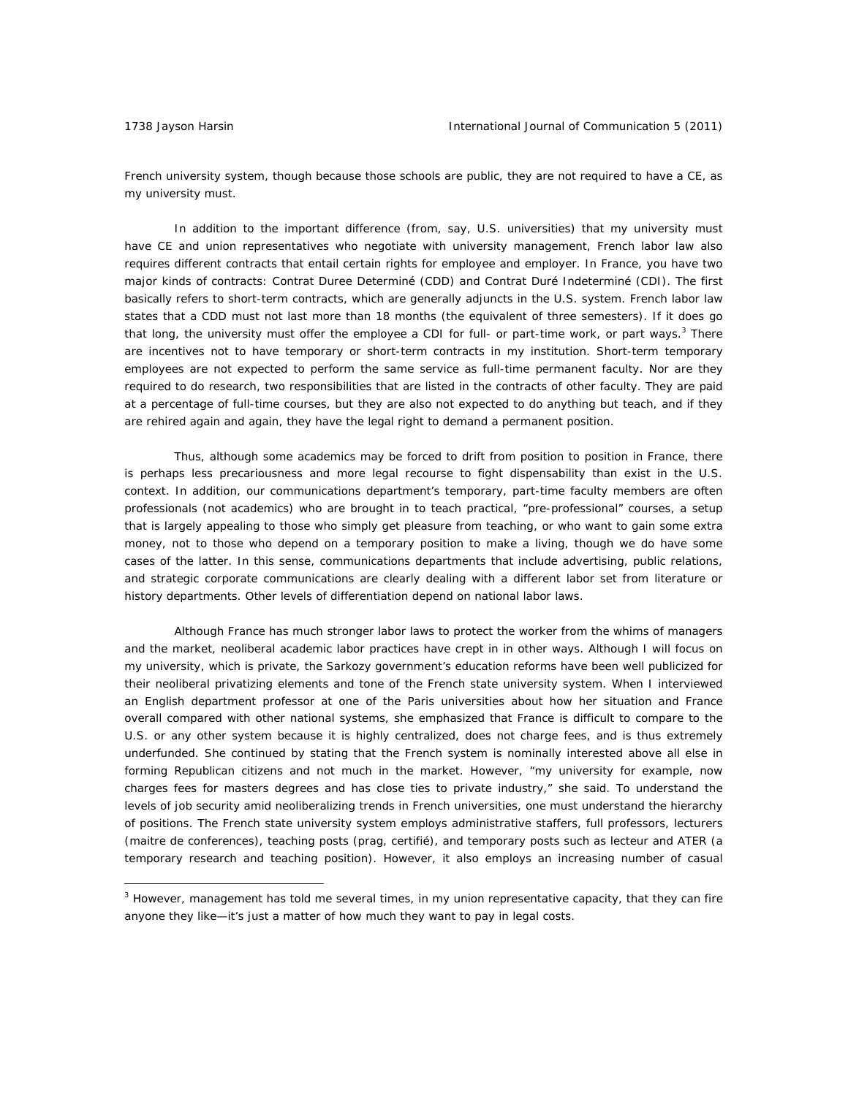$\overline{a}$ 

French university system, though because those schools are public, they are not required to have a CE, as my university must.

In addition to the important difference (from, say, U.S. universities) that my university must have CE and union representatives who negotiate with university management, French labor law also requires different contracts that entail certain rights for employee and employer. In France, you have two major kinds of contracts: Contrat Duree Determiné (CDD) and Contrat Duré Indeterminé (CDI). The first basically refers to short-term contracts, which are generally adjuncts in the U.S. system. French labor law states that a CDD must not last more than 18 months (the equivalent of three semesters). If it does go that long, the university must offer the employee a CDI for full- or part-time work, or part ways.<sup>3</sup> There are incentives not to have temporary or short-term contracts in my institution. Short-term temporary employees are not expected to perform the same service as full-time permanent faculty. Nor are they required to do research, two responsibilities that are listed in the contracts of other faculty. They are paid at a percentage of full-time courses, but they are also not expected to do anything but teach, and if they are rehired again and again, they have the legal right to demand a permanent position.

Thus, although some academics may be forced to drift from position to position in France, there is perhaps less precariousness and more legal recourse to fight dispensability than exist in the U.S. context. In addition, our communications department's temporary, part-time faculty members are often professionals (not academics) who are brought in to teach practical, "pre-professional" courses, a setup that is largely appealing to those who simply get pleasure from teaching, or who want to gain some extra money, not to those who depend on a temporary position to make a living, though we do have some cases of the latter. In this sense, communications departments that include advertising, public relations, and strategic corporate communications are clearly dealing with a different labor set from literature or history departments. Other levels of differentiation depend on national labor laws.

Although France has much stronger labor laws to protect the worker from the whims of managers and the market, neoliberal academic labor practices have crept in in other ways. Although I will focus on my university, which is private, the Sarkozy government's education reforms have been well publicized for their neoliberal privatizing elements and tone of the French state university system. When I interviewed an English department professor at one of the Paris universities about how her situation and France overall compared with other national systems, she emphasized that France is difficult to compare to the U.S. or any other system because it is highly centralized, does not charge fees, and is thus extremely underfunded. She continued by stating that the French system is nominally interested above all else in forming Republican citizens and not much in the market. However, "my university for example, now charges fees for masters degrees and has close ties to private industry," she said. To understand the levels of job security amid neoliberalizing trends in French universities, one must understand the hierarchy of positions. The French state university system employs administrative staffers, full professors, lecturers (*maitre de conferences*), teaching posts (*prag*, *certifié*), and temporary posts such as *lecteur* and ATER (a temporary research and teaching position). However, it also employs an increasing number of casual

<sup>&</sup>lt;sup>3</sup> However, management has told me several times, in my union representative capacity, that they can fire anyone they like—it's just a matter of how much they want to pay in legal costs.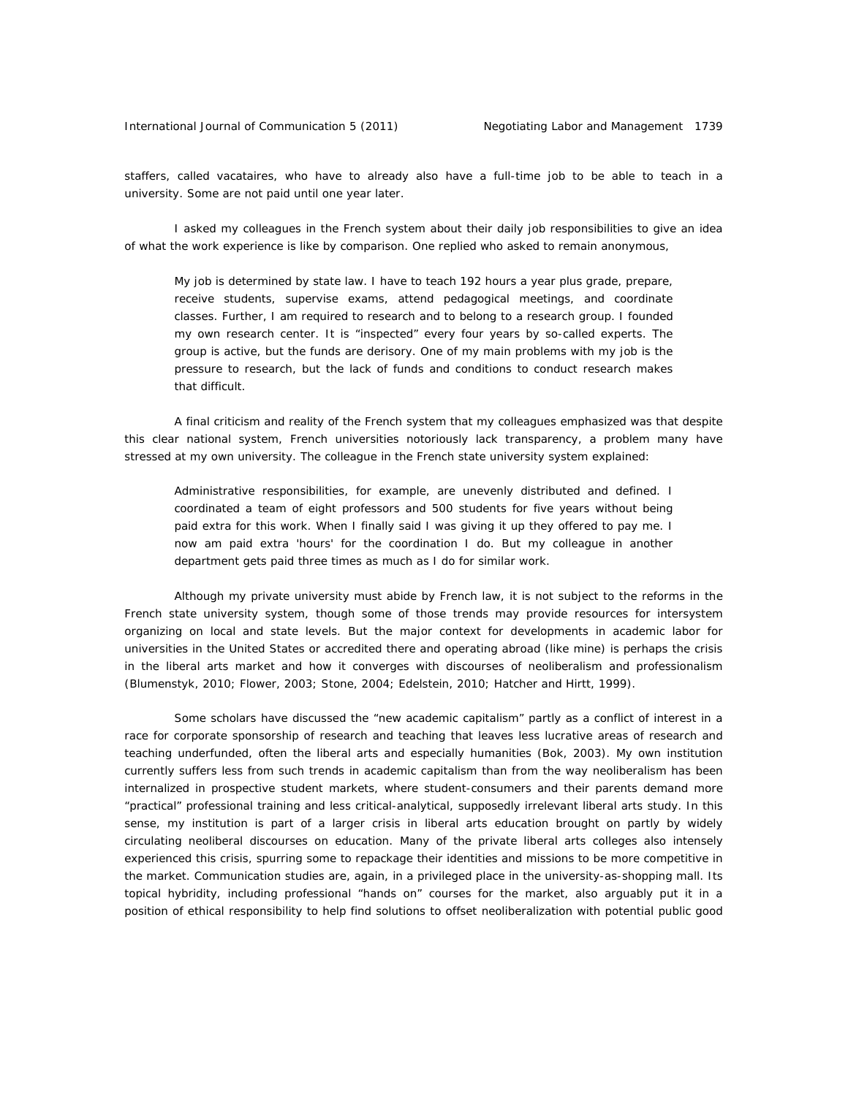staffers, called *vacataires*, who have to already also have a full-time job to be able to teach in a university. Some are not paid until one year later.

I asked my colleagues in the French system about their daily job responsibilities to give an idea of what the work experience is like by comparison. One replied who asked to remain anonymous,

My job is determined by state law. I have to teach 192 hours a year plus grade, prepare, receive students, supervise exams, attend pedagogical meetings, and coordinate classes. Further, I am required to research and to belong to a research group. I founded my own research center. It is "inspected" every four years by so-called experts. The group is active, but the funds are derisory. One of my main problems with my job is the pressure to research, but the lack of funds and conditions to conduct research makes that difficult.

A final criticism and reality of the French system that my colleagues emphasized was that despite this clear national system, French universities notoriously lack transparency, a problem many have stressed at my own university. The colleague in the French state university system explained:

Administrative responsibilities, for example, are unevenly distributed and defined. I coordinated a team of eight professors and 500 students for five years without being paid extra for this work. When I finally said I was giving it up they offered to pay me. I now am paid extra 'hours' for the coordination I do. But my colleague in another department gets paid three times as much as I do for similar work.

Although my private university must abide by French law, it is not subject to the reforms in the French state university system, though some of those trends may provide resources for intersystem organizing on local and state levels. But the major context for developments in academic labor for universities in the United States or accredited there and operating abroad (like mine) is perhaps the crisis in the liberal arts market and how it converges with discourses of neoliberalism and professionalism (Blumenstyk, 2010; Flower, 2003; Stone, 2004; Edelstein, 2010; Hatcher and Hirtt, 1999).

Some scholars have discussed the "new academic capitalism" partly as a conflict of interest in a race for corporate sponsorship of research and teaching that leaves less lucrative areas of research and teaching underfunded, often the liberal arts and especially humanities (Bok, 2003). My own institution currently suffers less from such trends in academic capitalism than from the way neoliberalism has been internalized in prospective student markets, where student-consumers and their parents demand more "practical" professional training and less critical-analytical, supposedly irrelevant liberal arts study. In this sense, my institution is part of a larger crisis in liberal arts education brought on partly by widely circulating neoliberal discourses on education. Many of the private liberal arts colleges also intensely experienced this crisis, spurring some to repackage their identities and missions to be more competitive in the market. Communication studies are, again, in a privileged place in the university-as-shopping mall. Its topical hybridity, including professional "hands on" courses for the market, also arguably put it in a position of ethical responsibility to help find solutions to offset neoliberalization with potential public good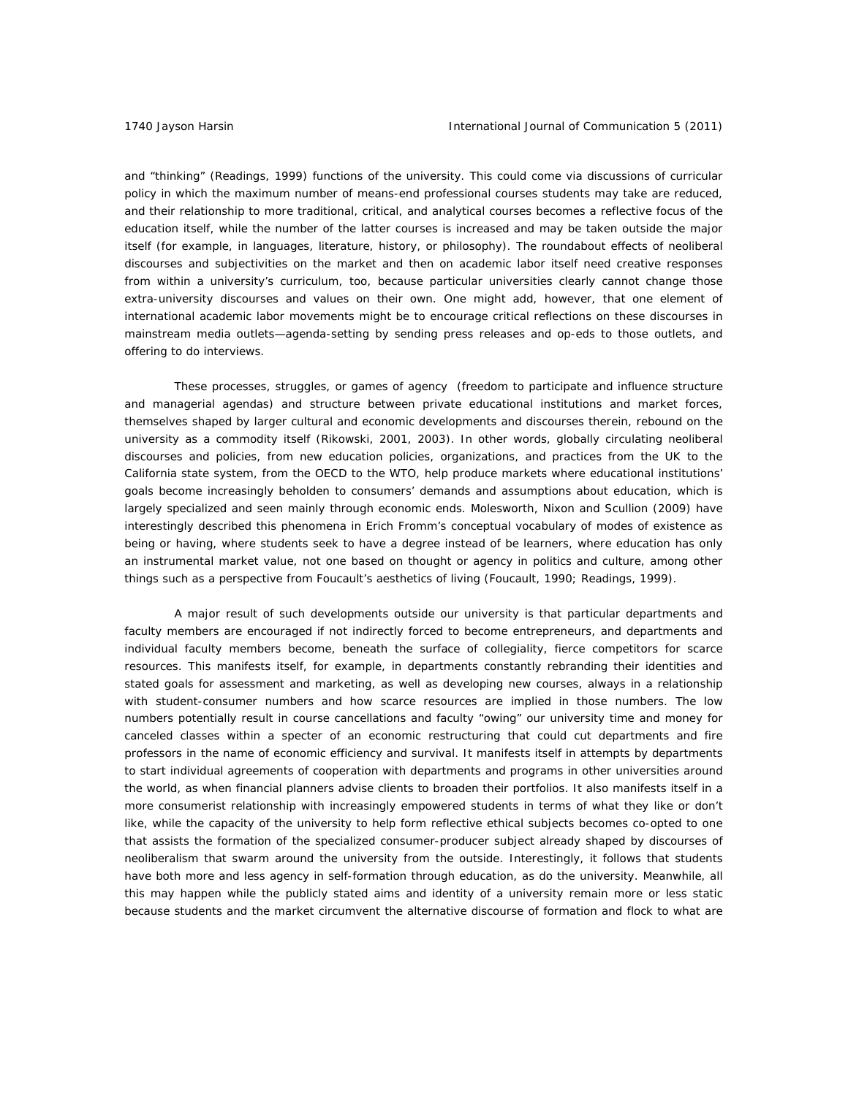and "thinking" (Readings, 1999) functions of the university. This could come via discussions of curricular policy in which the maximum number of means-end professional courses students may take are reduced, and their relationship to more traditional, critical, and analytical courses becomes a reflective focus of the education itself, while the number of the latter courses is increased and may be taken outside the major itself (for example, in languages, literature, history, or philosophy). The roundabout effects of neoliberal discourses and subjectivities on the market and then on academic labor itself need creative responses from within a university's curriculum, too, because particular universities clearly cannot change those extra-university discourses and values on their own. One might add, however, that one element of international academic labor movements might be to encourage critical reflections on these discourses in mainstream media outlets—agenda-setting by sending press releases and op-eds to those outlets, and offering to do interviews.

These processes, struggles, or games of agency (freedom to participate and influence structure and managerial agendas) and structure between private educational institutions and market forces, themselves shaped by larger cultural and economic developments and discourses therein, rebound on the university as a commodity itself (Rikowski, 2001, 2003). In other words, globally circulating neoliberal discourses and policies, from new education policies, organizations, and practices from the UK to the California state system, from the OECD to the WTO, help produce markets where educational institutions' goals become increasingly beholden to consumers' demands and assumptions about education, which is largely specialized and seen mainly through economic ends. Molesworth, Nixon and Scullion (2009) have interestingly described this phenomena in Erich Fromm's conceptual vocabulary of modes of existence as *being* or *having*, where students seek to *have* a degree instead of *be* learners, where education has only an instrumental market value, not one based on *thought* or *agency* in politics and culture, among other things such as a perspective from Foucault's aesthetics of living (Foucault, 1990; Readings, 1999).

A major result of such developments outside our university is that particular departments and faculty members are encouraged if not indirectly forced to become entrepreneurs, and departments and individual faculty members become, beneath the surface of collegiality, fierce competitors for scarce resources. This manifests itself, for example, in departments constantly rebranding their identities and stated goals for assessment and marketing, as well as developing new courses, always in a relationship with student-consumer numbers and how scarce resources are implied in those numbers. The low numbers potentially result in course cancellations and faculty "owing" our university time and money for canceled classes within a specter of an economic restructuring that could cut departments and fire professors in the name of economic efficiency and survival. It manifests itself in attempts by departments to start individual agreements of cooperation with departments and programs in other universities around the world, as when financial planners advise clients to broaden their portfolios. It also manifests itself in a more consumerist relationship with increasingly empowered students in terms of what they like or don't like, while the capacity of the university to help form reflective ethical subjects becomes co-opted to one that assists the formation of the specialized consumer-producer subject already shaped by discourses of neoliberalism that swarm around the university from the outside. Interestingly, it follows that students have both more and less agency in self-formation through education, as do the university. Meanwhile, all this may happen while the publicly stated aims and identity of a university remain more or less static because students and the market circumvent the alternative discourse of formation and flock to what are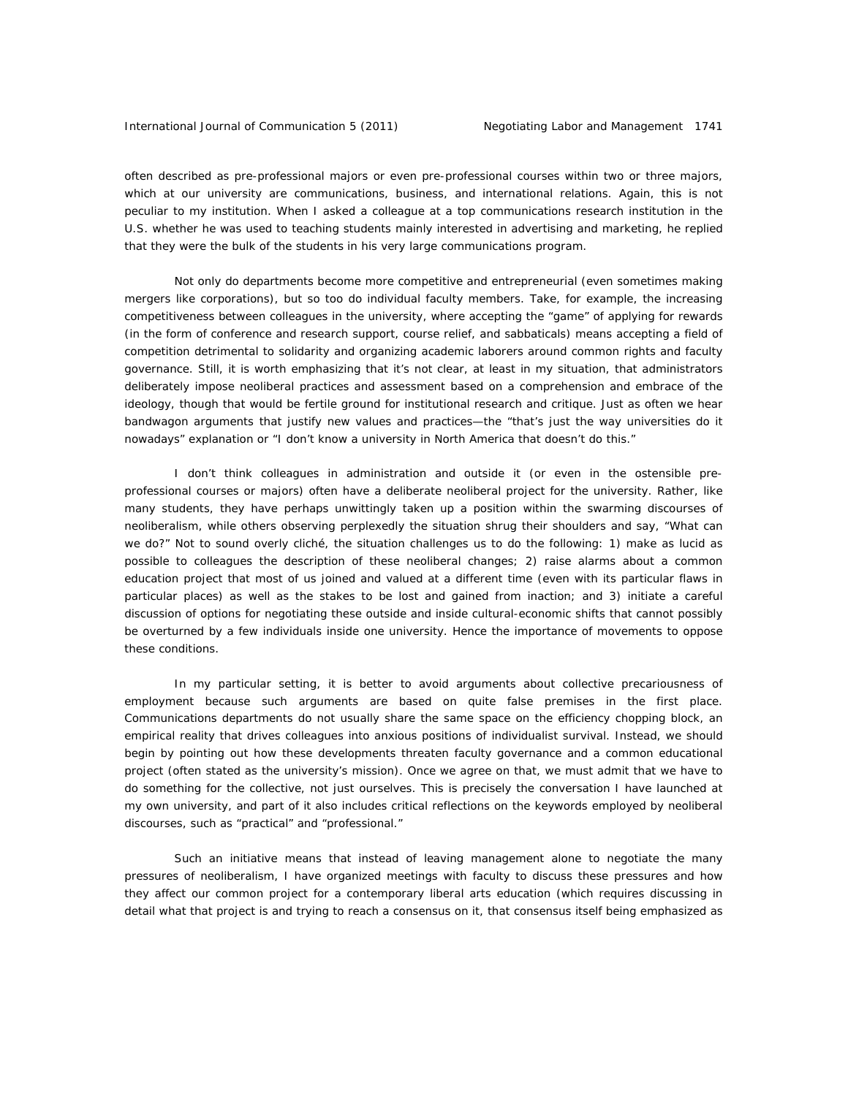## International Journal of Communication 5 (2011) Negotiating Labor and Management 1741

often described as pre-professional majors or even pre-professional courses within two or three majors, which at our university are communications, business, and international relations. Again, this is not peculiar to my institution. When I asked a colleague at a top communications research institution in the U.S. whether he was used to teaching students mainly interested in advertising and marketing, he replied that they were the bulk of the students in his very large communications program.

Not only do departments become more competitive and entrepreneurial (even sometimes making mergers like corporations), but so too do individual faculty members. Take, for example, the increasing competitiveness between colleagues in the university, where accepting the "game" of applying for rewards (in the form of conference and research support, course relief, and sabbaticals) means accepting a field of competition detrimental to solidarity and organizing academic laborers around common rights and faculty governance. Still, it is worth emphasizing that it's not clear, at least in my situation, that administrators deliberately impose neoliberal practices and assessment based on a comprehension and embrace of the ideology, though that would be fertile ground for institutional research and critique. Just as often we hear bandwagon arguments that justify new values and practices—the "that's just the way universities do it nowadays" explanation or "I don't know a university in North America that doesn't do this."

I don't think colleagues in administration and outside it (or even in the ostensible preprofessional courses or majors) often have a deliberate neoliberal project for the university. Rather, like many students, they have perhaps unwittingly taken up a position within the swarming discourses of neoliberalism, while others observing perplexedly the situation shrug their shoulders and say, "What can we do?" Not to sound overly cliché, the situation challenges us to do the following: 1) make as lucid as possible to colleagues the description of these neoliberal changes; 2) raise alarms about a common education project that most of us joined and valued at a different time (even with its particular flaws in particular places) as well as the stakes to be lost and gained from inaction; and 3) initiate a careful discussion of options for negotiating these outside and inside cultural-economic shifts that cannot possibly be overturned by a few individuals inside one university. Hence the importance of movements to oppose these conditions.

In my particular setting, it is better to avoid arguments about collective precariousness of employment because such arguments are based on quite false premises in the first place. Communications departments do not usually share the same space on the efficiency chopping block, an empirical reality that drives colleagues into anxious positions of individualist survival. Instead, we should begin by pointing out how these developments threaten faculty governance and a common educational project (often stated as the university's mission). Once we agree on that, we must admit that we have to do something for the collective, not just ourselves. This is precisely the conversation I have launched at my own university, and part of it also includes critical reflections on the keywords employed by neoliberal discourses, such as "practical" and "professional."

Such an initiative means that instead of leaving management alone to negotiate the many pressures of neoliberalism, I have organized meetings with faculty to discuss these pressures and how they affect our common project for a contemporary liberal arts education (which requires discussing in detail what that project is and trying to reach a consensus on it, that consensus itself being emphasized as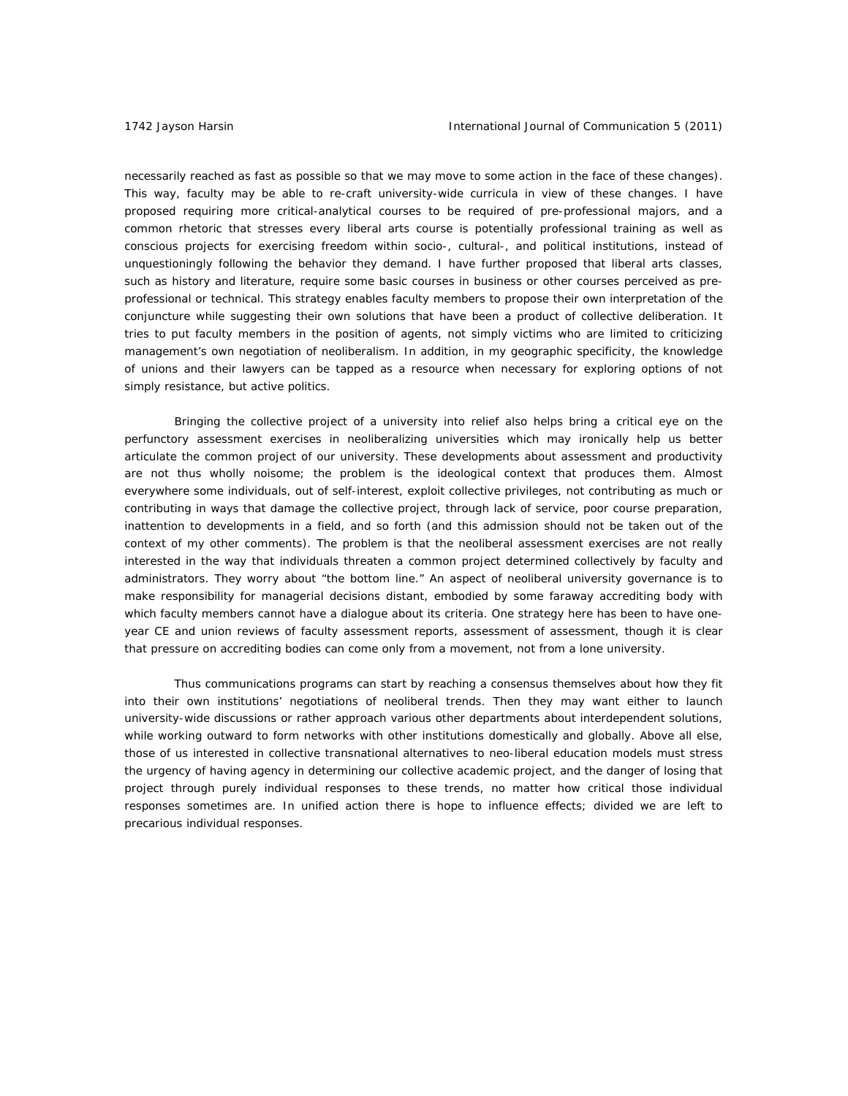necessarily reached as fast as possible so that we may move to some action in the face of these changes). This way, faculty may be able to re-craft university-wide curricula in view of these changes. I have proposed requiring more critical-analytical courses to be required of pre-professional majors, and a common rhetoric that stresses every liberal arts course is potentially professional training as well as conscious projects for exercising freedom within socio-, cultural-, and political institutions, instead of unquestioningly following the behavior they demand. I have further proposed that liberal arts classes, such as history and literature, require some basic courses in business or other courses perceived as preprofessional or technical. This strategy enables faculty members to propose their own interpretation of the conjuncture while suggesting their own solutions that have been a product of collective deliberation. It tries to put faculty members in the position of agents, not simply victims who are limited to criticizing management's own negotiation of neoliberalism. In addition, in my geographic specificity, the knowledge of unions and their lawyers can be tapped as a resource when necessary for exploring options of not simply resistance, but active politics.

Bringing the collective project of a university into relief also helps bring a critical eye on the perfunctory assessment exercises in neoliberalizing universities which may ironically help us better articulate the common project of our university. These developments about assessment and productivity are not thus wholly noisome; the problem is the ideological context that produces them. Almost everywhere some individuals, out of self-interest, exploit collective privileges, not contributing as much or contributing in ways that damage the collective project, through lack of service, poor course preparation, inattention to developments in a field, and so forth (and this admission should not be taken out of the context of my other comments). The problem is that the neoliberal assessment exercises are not really interested in the way that individuals threaten a common project determined collectively by faculty and administrators. They worry about "the bottom line." An aspect of neoliberal university governance is to make responsibility for managerial decisions distant, embodied by some faraway accrediting body with which faculty members cannot have a dialogue about its criteria. One strategy here has been to have oneyear CE and union reviews of faculty assessment reports, assessment of assessment, though it is clear that pressure on accrediting bodies can come only from a movement, not from a lone university.

Thus communications programs can start by reaching a consensus themselves about how they fit into their own institutions' negotiations of neoliberal trends. Then they may want either to launch university-wide discussions or rather approach various other departments about interdependent solutions, while working outward to form networks with other institutions domestically and globally. Above all else, those of us interested in collective transnational alternatives to neo-liberal education models must stress the urgency of having agency in determining our collective academic project, and the danger of losing that project through purely individual responses to these trends, no matter how critical those individual responses sometimes are. In unified action there is hope to influence effects; divided we are left to precarious individual responses.